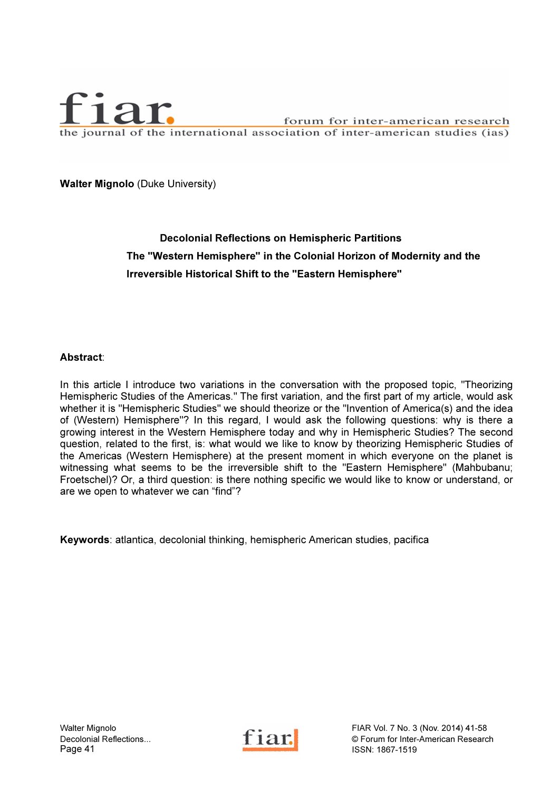

Walter Mignolo (Duke University)

# Decolonial Reflections on Hemispheric Partitions The "Western Hemisphere" in the Colonial Horizon of Modernity and the Irreversible Historical Shift to the "Eastern Hemisphere"

### Abstract:

In this article I introduce two variations in the conversation with the proposed topic, "Theorizing Hemispheric Studies of the Americas." The first variation, and the first part of my article, would ask whether it is "Hemispheric Studies" we should theorize or the "Invention of America(s) and the idea of (Western) Hemisphere"? In this regard, I would ask the following questions: why is there a growing interest in the Western Hemisphere today and why in Hemispheric Studies? The second question, related to the first, is: what would we like to know by theorizing Hemispheric Studies of the Americas (Western Hemisphere) at the present moment in which everyone on the planet is witnessing what seems to be the irreversible shift to the "Eastern Hemisphere" (Mahbubanu; Froetschel)? Or, a third question: is there nothing specific we would like to know or understand, or are we open to whatever we can "find"?

Keywords: atlantica, decolonial thinking, hemispheric American studies, pacifica



Walter Mignolo FIAR Vol. 7 No. 3 (Nov. 2014) 41-58<br>Decolonial Reflections... Fiam of Texas C Forum for Inter-American Researc Decolonial Reflections...<br>
Page 41 **Page 41 Page 41 Page 41 Page 41 Page 41 Page 41 Page 41 Page 41 Page 41 Page 41 Page 41 Page 41 Page 41 Page 41 Page 41 Page 41 Page 41 Page 41 Page 4 ISSN: 1867-1519**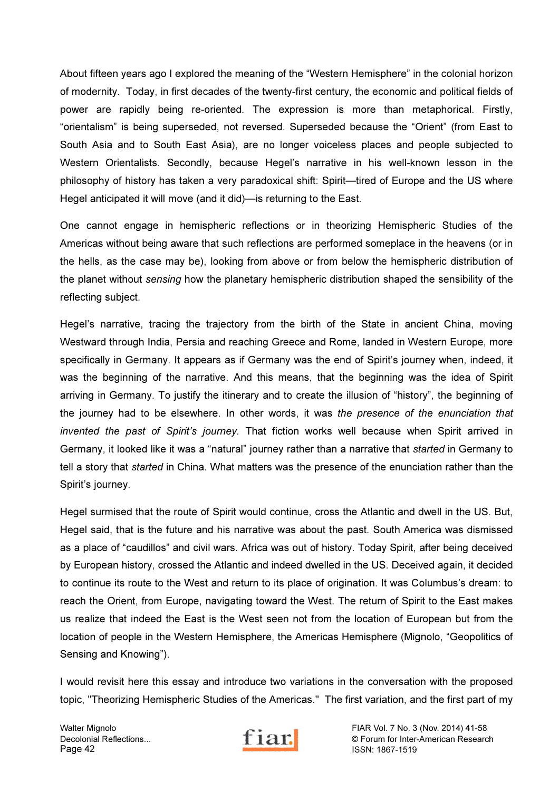About fifteen years ago I explored the meaning of the "Western Hemisphere" in the colonial horizon of modernity. Today, in first decades of the twenty-first century, the economic and political fields of power are rapidly being re-oriented. The expression is more than metaphorical. Firstly, "orientalism" is being superseded, not reversed. Superseded because the "Orient" (from East to South Asia and to South East Asia), are no longer voiceless places and people subjected to Western Orientalists. Secondly, because Hegel's narrative in his well-known lesson in the philosophy of history has taken a very paradoxical shift: Spirit—tired of Europe and the US where Hegel anticipated it will move (and it did)—is returning to the East.

One cannot engage in hemispheric reflections or in theorizing Hemispheric Studies of the Americas without being aware that such reflections are performed someplace in the heavens (or in the hells, as the case may be), looking from above or from below the hemispheric distribution of the planet without *sensing* how the planetary hemispheric distribution shaped the sensibility of the reflecting subject.

Hegel's narrative, tracing the trajectory from the birth of the State in ancient China, moving Westward through India, Persia and reaching Greece and Rome, landed in Western Europe, more specifically in Germany. It appears as if Germany was the end of Spirit's journey when, indeed, it was the beginning of the narrative. And this means, that the beginning was the idea of Spirit arriving in Germany. To justify the itinerary and to create the illusion of "history", the beginning of the journey had to be elsewhere. In other words, it was the presence of the enunciation that invented the past of Spirit's journey. That fiction works well because when Spirit arrived in Germany, it looked like it was a "natural" journey rather than a narrative that started in Germany to tell a story that started in China. What matters was the presence of the enunciation rather than the Spirit's journey.

Hegel surmised that the route of Spirit would continue, cross the Atlantic and dwell in the US. But, Hegel said, that is the future and his narrative was about the past. South America was dismissed as a place of "caudillos" and civil wars. Africa was out of history. Today Spirit, after being deceived by European history, crossed the Atlantic and indeed dwelled in the US. Deceived again, it decided to continue its route to the West and return to its place of origination. It was Columbus's dream: to reach the Orient, from Europe, navigating toward the West. The return of Spirit to the East makes us realize that indeed the East is the West seen not from the location of European but from the location of people in the Western Hemisphere, the Americas Hemisphere (Mignolo, "Geopolitics of Sensing and Knowing").

I would revisit here this essay and introduce two variations in the conversation with the proposed topic, "Theorizing Hemispheric Studies of the Americas." The first variation, and the first part of my



Walter Mignolo FIAR Vol. 7 No. 3 (Nov. 2014) 41-58<br>Decolonial Reflections... Tiam for Inter-American Researc Decolonial Reflections...<br>
Page 42 **Form** for Inter-American Research<br>
ISSN: 1867-1519 ISSN: 1867-1519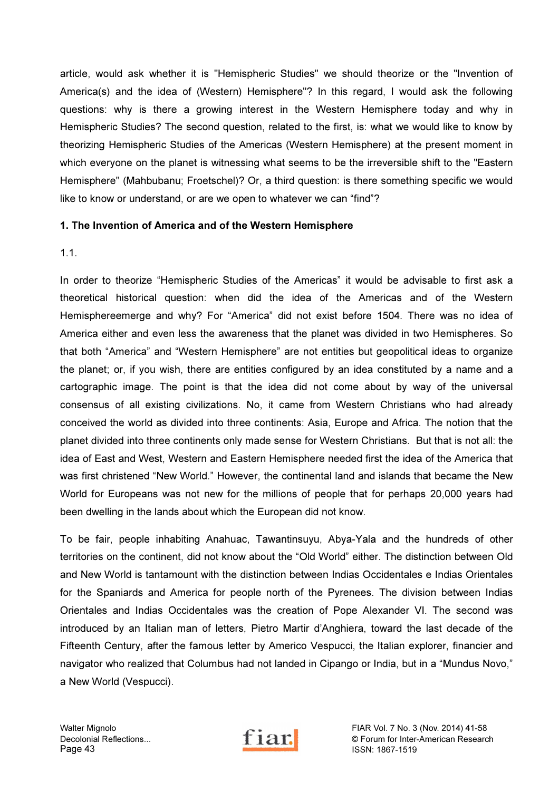article, would ask whether it is "Hemispheric Studies" we should theorize or the "Invention of America(s) and the idea of (Western) Hemisphere"? In this regard, I would ask the following questions: why is there a growing interest in the Western Hemisphere today and why in Hemispheric Studies? The second question, related to the first, is: what we would like to know by theorizing Hemispheric Studies of the Americas (Western Hemisphere) at the present moment in which everyone on the planet is witnessing what seems to be the irreversible shift to the "Eastern Hemisphere" (Mahbubanu; Froetschel)? Or, a third question: is there something specific we would like to know or understand, or are we open to whatever we can "find"?

# 1. The Invention of America and of the Western Hemisphere

1.1.

In order to theorize "Hemispheric Studies of the Americas" it would be advisable to first ask a theoretical historical question: when did the idea of the Americas and of the Western Hemisphereemerge and why? For "America" did not exist before 1504. There was no idea of America either and even less the awareness that the planet was divided in two Hemispheres. So that both "America" and "Western Hemisphere" are not entities but geopolitical ideas to organize the planet; or, if you wish, there are entities configured by an idea constituted by a name and a cartographic image. The point is that the idea did not come about by way of the universal consensus of all existing civilizations. No, it came from Western Christians who had already conceived the world as divided into three continents: Asia, Europe and Africa. The notion that the planet divided into three continents only made sense for Western Christians. But that is not all: the idea of East and West, Western and Eastern Hemisphere needed first the idea of the America that was first christened "New World." However, the continental land and islands that became the New World for Europeans was not new for the millions of people that for perhaps 20,000 years had been dwelling in the lands about which the European did not know.

To be fair, people inhabiting Anahuac, Tawantinsuyu, Abya-Yala and the hundreds of other territories on the continent, did not know about the "Old World" either. The distinction between Old and New World is tantamount with the distinction between Indias Occidentales e Indias Orientales for the Spaniards and America for people north of the Pyrenees. The division between Indias Orientales and Indias Occidentales was the creation of Pope Alexander VI. The second was introduced by an Italian man of letters, Pietro Martir d'Anghiera, toward the last decade of the Fifteenth Century, after the famous letter by Americo Vespucci, the Italian explorer, financier and navigator who realized that Columbus had not landed in Cipango or India, but in a "Mundus Novo," a New World (Vespucci).



Walter Mignolo FIAR Vol. 7 No. 3 (Nov. 2014) 41-58<br>Decolonial Reflections... Tiam for Inter-American Research Decolonial Reflections...<br>
Page 43 **Forum for Inter-American Research**<br>
ISSN: 1867-1519 ISSN: 1867-1519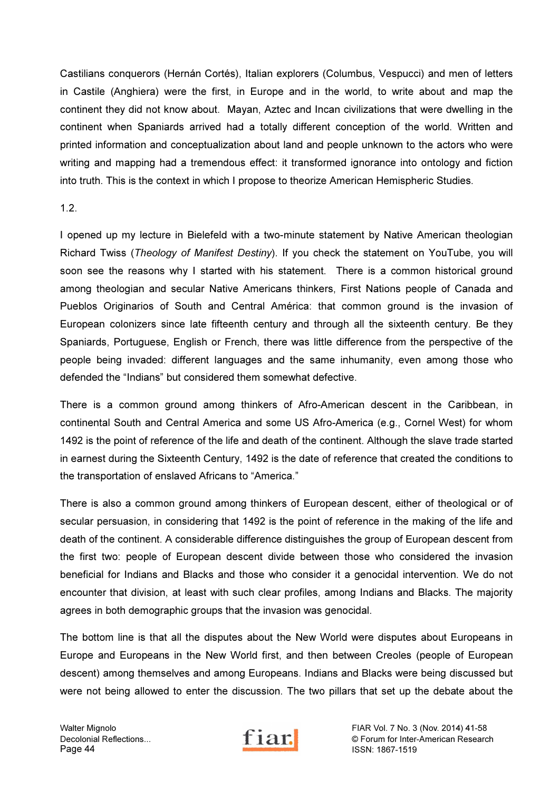Castilians conquerors (Hernán Cortés), Italian explorers (Columbus, Vespucci) and men of letters in Castile (Anghiera) were the first, in Europe and in the world, to write about and map the continent they did not know about. Mayan, Aztec and Incan civilizations that were dwelling in the continent when Spaniards arrived had a totally different conception of the world. Written and printed information and conceptualization about land and people unknown to the actors who were writing and mapping had a tremendous effect: it transformed ignorance into ontology and fiction into truth. This is the context in which I propose to theorize American Hemispheric Studies.

1.2.

I opened up my lecture in Bielefeld with a two-minute statement by Native American theologian Richard Twiss (Theology of Manifest Destiny). If you check the statement on YouTube, you will soon see the reasons why I started with his statement. There is a common historical ground among theologian and secular Native Americans thinkers, First Nations people of Canada and Pueblos Originarios of South and Central América: that common ground is the invasion of European colonizers since late fifteenth century and through all the sixteenth century. Be they Spaniards, Portuguese, English or French, there was little difference from the perspective of the people being invaded: different languages and the same inhumanity, even among those who defended the "Indians" but considered them somewhat defective.

There is a common ground among thinkers of Afro-American descent in the Caribbean, in continental South and Central America and some US Afro-America (e.g., Cornel West) for whom 1492 is the point of reference of the life and death of the continent. Although the slave trade started in earnest during the Sixteenth Century, 1492 is the date of reference that created the conditions to the transportation of enslaved Africans to "America."

There is also a common ground among thinkers of European descent, either of theological or of secular persuasion, in considering that 1492 is the point of reference in the making of the life and death of the continent. A considerable difference distinguishes the group of European descent from the first two: people of European descent divide between those who considered the invasion beneficial for Indians and Blacks and those who consider it a genocidal intervention. We do not encounter that division, at least with such clear profiles, among Indians and Blacks. The majority agrees in both demographic groups that the invasion was genocidal.

The bottom line is that all the disputes about the New World were disputes about Europeans in Europe and Europeans in the New World first, and then between Creoles (people of European descent) among themselves and among Europeans. Indians and Blacks were being discussed but were not being allowed to enter the discussion. The two pillars that set up the debate about the



Walter Mignolo FIAR Vol. 7 No. 3 (Nov. 2014) 41-58<br>Decolonial Reflections... Fiam of Texas Corum for Inter-American Research Decolonial Reflections...<br>
Page 44<br>
SSN: 1867-1519 ISSN: 1867-1519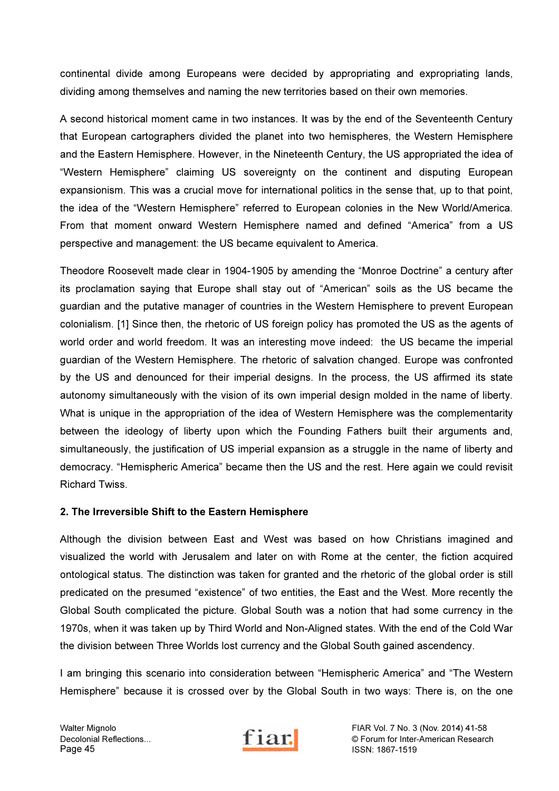continental divide among Europeans were decided by appropriating and expropriating lands, dividing among themselves and naming the new territories based on their own memories.

A second historical moment came in two instances. It was by the end of the Seventeenth Century that European cartographers divided the planet into two hemispheres, the Western Hemisphere and the Eastern Hemisphere. However, in the Nineteenth Century, the US appropriated the idea of "Western Hemisphere" claiming US sovereignty on the continent and disputing European expansionism. This was a crucial move for international politics in the sense that, up to that point, the idea of the "Western Hemisphere" referred to European colonies in the New World/America. From that moment onward Western Hemisphere named and defined "America" from a US perspective and management: the US became equivalent to America.

Theodore Roosevelt made clear in 1904-1905 by amending the "Monroe Doctrine" a century after its proclamation saying that Europe shall stay out of "American" soils as the US became the guardian and the putative manager of countries in the Western Hemisphere to prevent European colonialism. [1] Since then, the rhetoric of US foreign policy has promoted the US as the agents of world order and world freedom. It was an interesting move indeed: the US became the imperial guardian of the Western Hemisphere. The rhetoric of salvation changed. Europe was confronted by the US and denounced for their imperial designs. In the process, the US affirmed its state autonomy simultaneously with the vision of its own imperial design molded in the name of liberty. What is unique in the appropriation of the idea of Western Hemisphere was the complementarity between the ideology of liberty upon which the Founding Fathers built their arguments and, simultaneously, the justification of US imperial expansion as a struggle in the name of liberty and democracy. "Hemispheric America" became then the US and the rest. Here again we could revisit Richard Twiss.

### 2. The Irreversible Shift to the Eastern Hemisphere

Although the division between East and West was based on how Christians imagined and visualized the world with Jerusalem and later on with Rome at the center, the fiction acquired ontological status. The distinction was taken for granted and the rhetoric of the global order is still predicated on the presumed "existence" of two entities, the East and the West. More recently the Global South complicated the picture. Global South was a notion that had some currency in the 1970s, when it was taken up by Third World and Non-Aligned states. With the end of the Cold War the division between Three Worlds lost currency and the Global South gained ascendency.

I am bringing this scenario into consideration between "Hemispheric America" and "The Western Hemisphere" because it is crossed over by the Global South in two ways: There is, on the one



Walter Mignolo FIAR Vol. 7 No. 3 (Nov. 2014) 41-58<br>Decolonial Reflections... Fiam of Texas Corum for Inter-American Research Decolonial Reflections...<br>
Page 45<br>
Page 45<br>
Page 45<br>
SSN: 1867-1519 ISSN: 1867-1519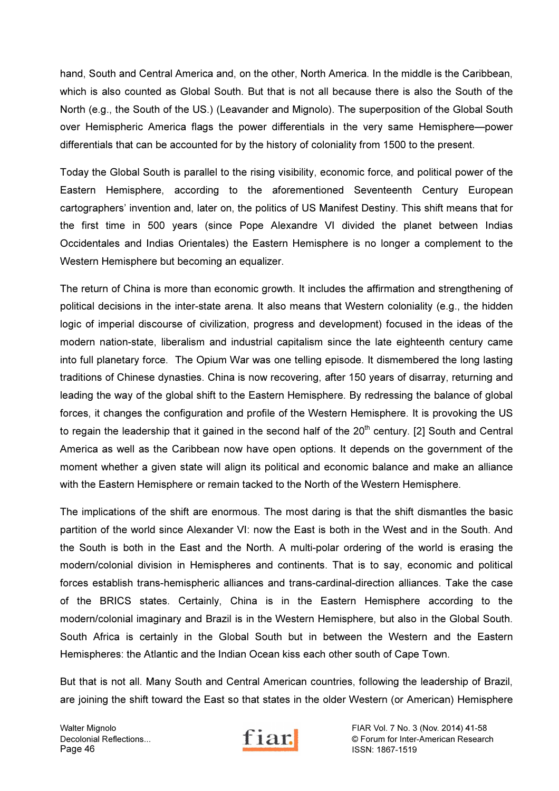hand, South and Central America and, on the other, North America. In the middle is the Caribbean, which is also counted as Global South. But that is not all because there is also the South of the North (e.g., the South of the US.) (Leavander and Mignolo). The superposition of the Global South over Hemispheric America flags the power differentials in the very same Hemisphere—power differentials that can be accounted for by the history of coloniality from 1500 to the present.

Today the Global South is parallel to the rising visibility, economic force, and political power of the Eastern Hemisphere, according to the aforementioned Seventeenth Century European cartographers' invention and, later on, the politics of US Manifest Destiny. This shift means that for the first time in 500 years (since Pope Alexandre VI divided the planet between Indias Occidentales and Indias Orientales) the Eastern Hemisphere is no longer a complement to the Western Hemisphere but becoming an equalizer.

The return of China is more than economic growth. It includes the affirmation and strengthening of political decisions in the inter-state arena. It also means that Western coloniality (e.g., the hidden logic of imperial discourse of civilization, progress and development) focused in the ideas of the modern nation-state, liberalism and industrial capitalism since the late eighteenth century came into full planetary force. The Opium War was one telling episode. It dismembered the long lasting traditions of Chinese dynasties. China is now recovering, after 150 years of disarray, returning and leading the way of the global shift to the Eastern Hemisphere. By redressing the balance of global forces, it changes the configuration and profile of the Western Hemisphere. It is provoking the US to regain the leadership that it gained in the second half of the 20<sup>th</sup> century. [2] South and Central America as well as the Caribbean now have open options. It depends on the government of the moment whether a given state will align its political and economic balance and make an alliance with the Eastern Hemisphere or remain tacked to the North of the Western Hemisphere.

The implications of the shift are enormous. The most daring is that the shift dismantles the basic partition of the world since Alexander VI: now the East is both in the West and in the South. And the South is both in the East and the North. A multi-polar ordering of the world is erasing the modern/colonial division in Hemispheres and continents. That is to say, economic and political forces establish trans-hemispheric alliances and trans-cardinal-direction alliances. Take the case of the BRICS states. Certainly, China is in the Eastern Hemisphere according to the modern/colonial imaginary and Brazil is in the Western Hemisphere, but also in the Global South. South Africa is certainly in the Global South but in between the Western and the Eastern Hemispheres: the Atlantic and the Indian Ocean kiss each other south of Cape Town.

But that is not all. Many South and Central American countries, following the leadership of Brazil, are joining the shift toward the East so that states in the older Western (or American) Hemisphere



Walter Mignolo FIAR Vol. 7 No. 3 (Nov. 2014) 41-58<br>Decolonial Reflections... Fiam of Inter-American Research Decolonial Reflections...<br>
Page 46 **Forum for Inter-American Research**<br>
ISSN: 1867-1519 ISSN: 1867-1519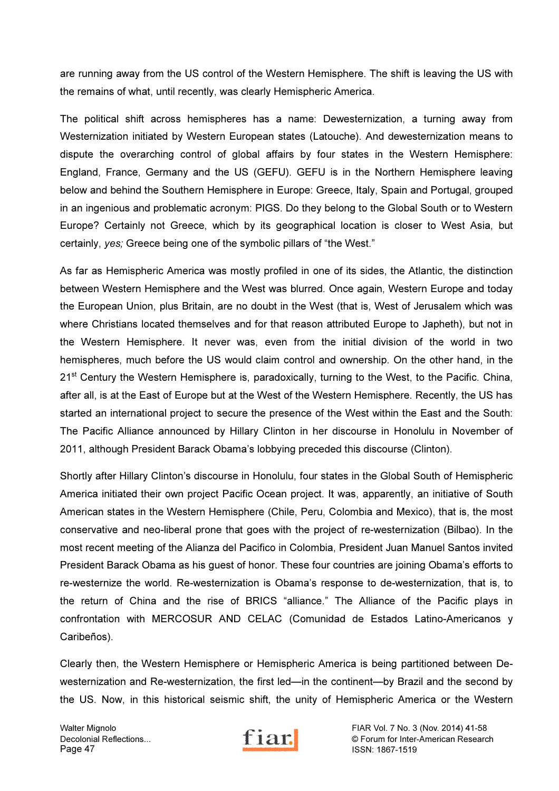are running away from the US control of the Western Hemisphere. The shift is leaving the US with the remains of what, until recently, was clearly Hemispheric America.

The political shift across hemispheres has a name: Dewesternization, a turning away from Westernization initiated by Western European states (Latouche). And dewesternization means to dispute the overarching control of global affairs by four states in the Western Hemisphere: England, France, Germany and the US (GEFU). GEFU is in the Northern Hemisphere leaving below and behind the Southern Hemisphere in Europe: Greece, Italy, Spain and Portugal, grouped in an ingenious and problematic acronym: PIGS. Do they belong to the Global South or to Western Europe? Certainly not Greece, which by its geographical location is closer to West Asia, but certainly, yes; Greece being one of the symbolic pillars of "the West."

As far as Hemispheric America was mostly profiled in one of its sides, the Atlantic, the distinction between Western Hemisphere and the West was blurred. Once again, Western Europe and today the European Union, plus Britain, are no doubt in the West (that is, West of Jerusalem which was where Christians located themselves and for that reason attributed Europe to Japheth), but not in the Western Hemisphere. It never was, even from the initial division of the world in two hemispheres, much before the US would claim control and ownership. On the other hand, in the 21<sup>st</sup> Century the Western Hemisphere is, paradoxically, turning to the West, to the Pacific. China, after all, is at the East of Europe but at the West of the Western Hemisphere. Recently, the US has started an international project to secure the presence of the West within the East and the South: The Pacific Alliance announced by Hillary Clinton in her discourse in Honolulu in November of 2011, although President Barack Obama's lobbying preceded this discourse (Clinton).

Shortly after Hillary Clinton's discourse in Honolulu, four states in the Global South of Hemispheric America initiated their own project Pacific Ocean project. It was, apparently, an initiative of South American states in the Western Hemisphere (Chile, Peru, Colombia and Mexico), that is, the most conservative and neo-liberal prone that goes with the project of re-westernization (Bilbao). In the most recent meeting of the Alianza del Pacifico in Colombia, President Juan Manuel Santos invited President Barack Obama as his guest of honor. These four countries are joining Obama's efforts to re-westernize the world. Re-westernization is Obama's response to de-westernization, that is, to the return of China and the rise of BRICS "alliance." The Alliance of the Pacific plays in confrontation with MERCOSUR AND CELAC (Comunidad de Estados Latino-Americanos y Caribeños).

Clearly then, the Western Hemisphere or Hemispheric America is being partitioned between Dewesternization and Re-westernization, the first led—in the continent—by Brazil and the second by the US. Now, in this historical seismic shift, the unity of Hemispheric America or the Western



Walter Mignolo FIAR Vol. 7 No. 3 (Nov. 2014) 41-58<br>Decolonial Reflections... Tiam for Inter-American Researc Decolonial Reflections... **Fil all.** C Forum for Inter-American Research<br>
Page 47 ISSN: 1867-1519 ISSN: 1867-1519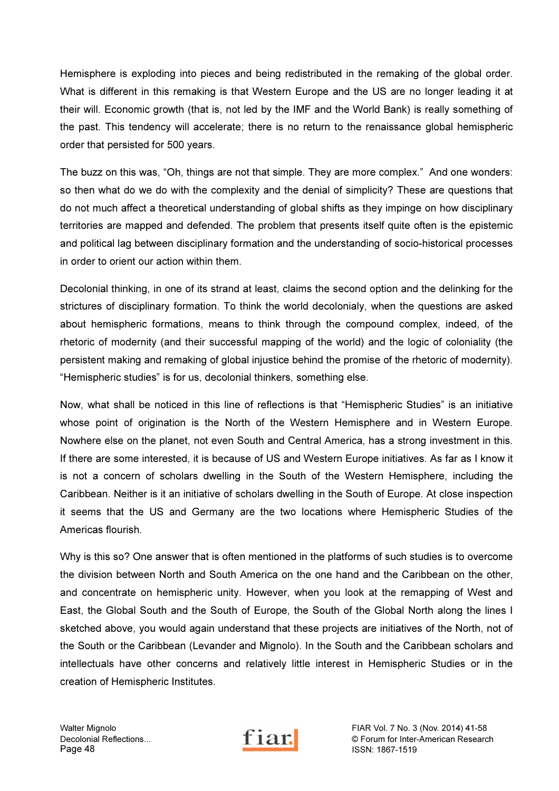Hemisphere is exploding into pieces and being redistributed in the remaking of the global order. What is different in this remaking is that Western Europe and the US are no longer leading it at their will. Economic growth (that is, not led by the IMF and the World Bank) is really something of the past. This tendency will accelerate; there is no return to the renaissance global hemispheric order that persisted for 500 years.

The buzz on this was, "Oh, things are not that simple. They are more complex." And one wonders: so then what do we do with the complexity and the denial of simplicity? These are questions that do not much affect a theoretical understanding of global shifts as they impinge on how disciplinary territories are mapped and defended. The problem that presents itself quite often is the epistemic and political lag between disciplinary formation and the understanding of socio-historical processes in order to orient our action within them.

Decolonial thinking, in one of its strand at least, claims the second option and the delinking for the strictures of disciplinary formation. To think the world decolonialy, when the questions are asked about hemispheric formations, means to think through the compound complex, indeed, of the rhetoric of modernity (and their successful mapping of the world) and the logic of coloniality (the persistent making and remaking of global injustice behind the promise of the rhetoric of modernity). "Hemispheric studies" is for us, decolonial thinkers, something else.

Now, what shall be noticed in this line of reflections is that "Hemispheric Studies" is an initiative whose point of origination is the North of the Western Hemisphere and in Western Europe. Nowhere else on the planet, not even South and Central America, has a strong investment in this. If there are some interested, it is because of US and Western Europe initiatives. As far as I know it is not a concern of scholars dwelling in the South of the Western Hemisphere, including the Caribbean. Neither is it an initiative of scholars dwelling in the South of Europe. At close inspection it seems that the US and Germany are the two locations where Hemispheric Studies of the Americas flourish.

Why is this so? One answer that is often mentioned in the platforms of such studies is to overcome the division between North and South America on the one hand and the Caribbean on the other, and concentrate on hemispheric unity. However, when you look at the remapping of West and East, the Global South and the South of Europe, the South of the Global North along the lines I sketched above, you would again understand that these projects are initiatives of the North, not of the South or the Caribbean (Levander and Mignolo). In the South and the Caribbean scholars and intellectuals have other concerns and relatively little interest in Hemispheric Studies or in the creation of Hemispheric Institutes.



Walter Mignolo FIAR Vol. 7 No. 3 (Nov. 2014) 41-58<br>Decolonial Reflections... Fiam of Texas Corum for Inter-American Research Decolonial Reflections... **Exercise 1 1 217.** Channel Communist Contract Contract Contract Page 48 and Page 48 ISSN: 1867-1519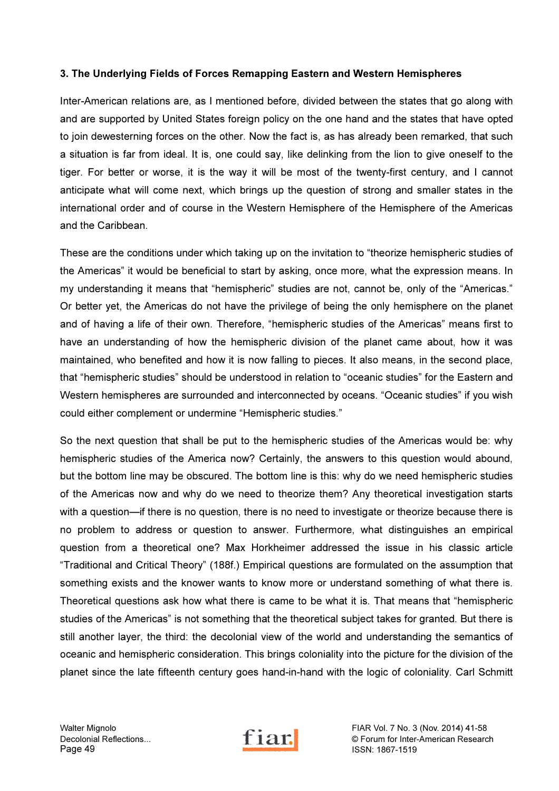### 3. The Underlying Fields of Forces Remapping Eastern and Western Hemispheres

Inter-American relations are, as I mentioned before, divided between the states that go along with and are supported by United States foreign policy on the one hand and the states that have opted to join dewesterning forces on the other. Now the fact is, as has already been remarked, that such a situation is far from ideal. It is, one could say, like delinking from the lion to give oneself to the tiger. For better or worse, it is the way it will be most of the twenty-first century, and I cannot anticipate what will come next, which brings up the question of strong and smaller states in the international order and of course in the Western Hemisphere of the Hemisphere of the Americas and the Caribbean.

These are the conditions under which taking up on the invitation to "theorize hemispheric studies of the Americas" it would be beneficial to start by asking, once more, what the expression means. In my understanding it means that "hemispheric" studies are not, cannot be, only of the "Americas." Or better yet, the Americas do not have the privilege of being the only hemisphere on the planet and of having a life of their own. Therefore, "hemispheric studies of the Americas" means first to have an understanding of how the hemispheric division of the planet came about, how it was maintained, who benefited and how it is now falling to pieces. It also means, in the second place, that "hemispheric studies" should be understood in relation to "oceanic studies" for the Eastern and Western hemispheres are surrounded and interconnected by oceans. "Oceanic studies" if you wish could either complement or undermine "Hemispheric studies."

So the next question that shall be put to the hemispheric studies of the Americas would be: why hemispheric studies of the America now? Certainly, the answers to this question would abound, but the bottom line may be obscured. The bottom line is this: why do we need hemispheric studies of the Americas now and why do we need to theorize them? Any theoretical investigation starts with a question—if there is no question, there is no need to investigate or theorize because there is no problem to address or question to answer. Furthermore, what distinguishes an empirical question from a theoretical one? Max Horkheimer addressed the issue in his classic article "Traditional and Critical Theory" (188f.) Empirical questions are formulated on the assumption that something exists and the knower wants to know more or understand something of what there is. Theoretical questions ask how what there is came to be what it is. That means that "hemispheric studies of the Americas" is not something that the theoretical subject takes for granted. But there is still another layer, the third: the decolonial view of the world and understanding the semantics of oceanic and hemispheric consideration. This brings coloniality into the picture for the division of the planet since the late fifteenth century goes hand-in-hand with the logic of coloniality. Carl Schmitt



Walter Mignolo FIAR Vol. 7 No. 3 (Nov. 2014) 41-58<br>Decolonial Reflections... Tiam for Inter-American Researc Decolonial Reflections... **Exercise 1 1 217.** Channel Of Forum for Inter-American Research Page 49 ISSN: 1867-1519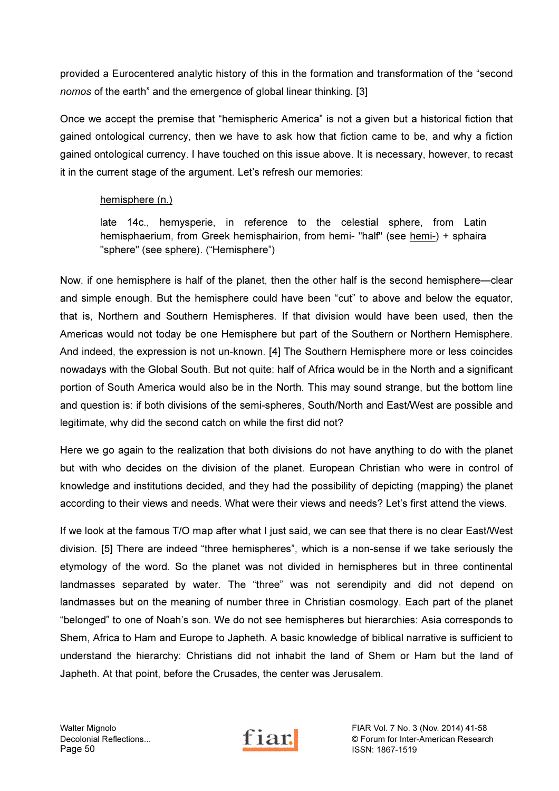provided a Eurocentered analytic history of this in the formation and transformation of the "second nomos of the earth" and the emergence of global linear thinking. [3]

Once we accept the premise that "hemispheric America" is not a given but a historical fiction that gained ontological currency, then we have to ask how that fiction came to be, and why a fiction gained ontological currency. I have touched on this issue above. It is necessary, however, to recast it in the current stage of the argument. Let's refresh our memories:

# hemisphere (n.)

late 14c., hemysperie, in reference to the celestial sphere, from Latin hemisphaerium, from Greek hemisphairion, from hemi- "half" (see hemi-) + sphaira "sphere" (see sphere). ("Hemisphere")

Now, if one hemisphere is half of the planet, then the other half is the second hemisphere—clear and simple enough. But the hemisphere could have been "cut" to above and below the equator, that is, Northern and Southern Hemispheres. If that division would have been used, then the Americas would not today be one Hemisphere but part of the Southern or Northern Hemisphere. And indeed, the expression is not un-known. [4] The Southern Hemisphere more or less coincides nowadays with the Global South. But not quite: half of Africa would be in the North and a significant portion of South America would also be in the North. This may sound strange, but the bottom line and question is: if both divisions of the semi-spheres, South/North and East/West are possible and legitimate, why did the second catch on while the first did not?

Here we go again to the realization that both divisions do not have anything to do with the planet but with who decides on the division of the planet. European Christian who were in control of knowledge and institutions decided, and they had the possibility of depicting (mapping) the planet according to their views and needs. What were their views and needs? Let's first attend the views.

If we look at the famous T/O map after what I just said, we can see that there is no clear East/West division. [5] There are indeed "three hemispheres", which is a non-sense if we take seriously the etymology of the word. So the planet was not divided in hemispheres but in three continental landmasses separated by water. The "three" was not serendipity and did not depend on landmasses but on the meaning of number three in Christian cosmology. Each part of the planet "belonged" to one of Noah's son. We do not see hemispheres but hierarchies: Asia corresponds to Shem, Africa to Ham and Europe to Japheth. A basic knowledge of biblical narrative is sufficient to understand the hierarchy: Christians did not inhabit the land of Shem or Ham but the land of Japheth. At that point, before the Crusades, the center was Jerusalem.

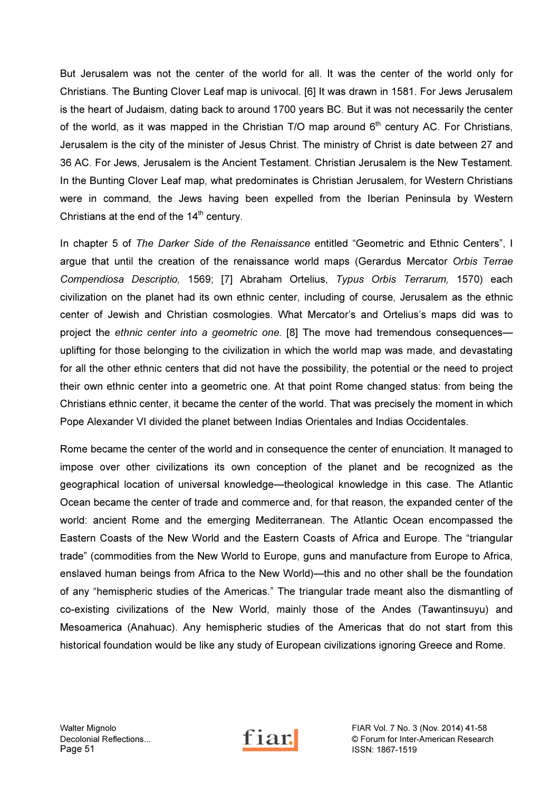But Jerusalem was not the center of the world for all. It was the center of the world only for Christians. The Bunting Clover Leaf map is univocal. [6] It was drawn in 1581. For Jews Jerusalem is the heart of Judaism, dating back to around 1700 years BC. But it was not necessarily the center of the world, as it was mapped in the Christian T/O map around  $6<sup>th</sup>$  century AC. For Christians, Jerusalem is the city of the minister of Jesus Christ. The ministry of Christ is date between 27 and 36 AC. For Jews, Jerusalem is the Ancient Testament. Christian Jerusalem is the New Testament. In the Bunting Clover Leaf map, what predominates is Christian Jerusalem, for Western Christians were in command, the Jews having been expelled from the Iberian Peninsula by Western Christians at the end of the  $14<sup>th</sup>$  century.

In chapter 5 of The Darker Side of the Renaissance entitled "Geometric and Ethnic Centers", I argue that until the creation of the renaissance world maps (Gerardus Mercator Orbis Terrae Compendiosa Descriptio, 1569; [7] Abraham Ortelius, Typus Orbis Terrarum, 1570) each civilization on the planet had its own ethnic center, including of course, Jerusalem as the ethnic center of Jewish and Christian cosmologies. What Mercator's and Ortelius's maps did was to project the ethnic center into a geometric one. [8] The move had tremendous consequences uplifting for those belonging to the civilization in which the world map was made, and devastating for all the other ethnic centers that did not have the possibility, the potential or the need to project their own ethnic center into a geometric one. At that point Rome changed status: from being the Christians ethnic center, it became the center of the world. That was precisely the moment in which Pope Alexander VI divided the planet between Indias Orientales and Indias Occidentales.

Rome became the center of the world and in consequence the center of enunciation. It managed to impose over other civilizations its own conception of the planet and be recognized as the geographical location of universal knowledge—theological knowledge in this case. The Atlantic Ocean became the center of trade and commerce and, for that reason, the expanded center of the world: ancient Rome and the emerging Mediterranean. The Atlantic Ocean encompassed the Eastern Coasts of the New World and the Eastern Coasts of Africa and Europe. The "triangular trade" (commodities from the New World to Europe, guns and manufacture from Europe to Africa, enslaved human beings from Africa to the New World)—this and no other shall be the foundation of any "hemispheric studies of the Americas." The triangular trade meant also the dismantling of co-existing civilizations of the New World, mainly those of the Andes (Tawantinsuyu) and Mesoamerica (Anahuac). Any hemispheric studies of the Americas that do not start from this historical foundation would be like any study of European civilizations ignoring Greece and Rome.



Walter Mignolo FIAR Vol. 7 No. 3 (Nov. 2014) 41-58<br>Decolonial Reflections... Fiam of Texas Corum for Inter-American Research Decolonial Reflections...<br>
Page 51 **Page 51 Page 51 Page 51 Page 51 Page 51 Page 51 Page 51 Page 51 Page 51 Page 51 Page 51 Page 31 Page 51 Page 51 Page 51 Page 51 Page 51 Page 51 Page 5** ISSN: 1867-1519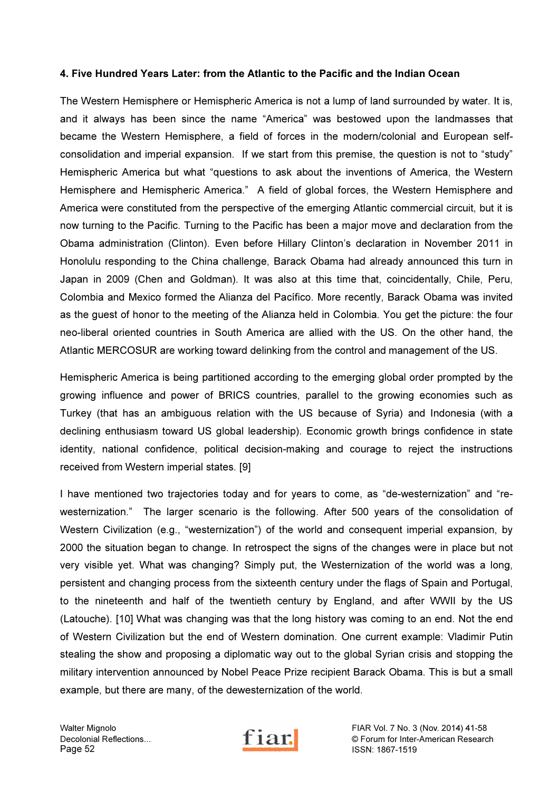#### 4. Five Hundred Years Later: from the Atlantic to the Pacific and the Indian Ocean

The Western Hemisphere or Hemispheric America is not a lump of land surrounded by water. It is, and it always has been since the name "America" was bestowed upon the landmasses that became the Western Hemisphere, a field of forces in the modern/colonial and European selfconsolidation and imperial expansion. If we start from this premise, the question is not to "study" Hemispheric America but what "questions to ask about the inventions of America, the Western Hemisphere and Hemispheric America." A field of global forces, the Western Hemisphere and America were constituted from the perspective of the emerging Atlantic commercial circuit, but it is now turning to the Pacific. Turning to the Pacific has been a major move and declaration from the Obama administration (Clinton). Even before Hillary Clinton's declaration in November 2011 in Honolulu responding to the China challenge, Barack Obama had already announced this turn in Japan in 2009 (Chen and Goldman). It was also at this time that, coincidentally, Chile, Peru, Colombia and Mexico formed the Alianza del Pacífico. More recently, Barack Obama was invited as the guest of honor to the meeting of the Alianza held in Colombia. You get the picture: the four neo-liberal oriented countries in South America are allied with the US. On the other hand, the Atlantic MERCOSUR are working toward delinking from the control and management of the US.

Hemispheric America is being partitioned according to the emerging global order prompted by the growing influence and power of BRICS countries, parallel to the growing economies such as Turkey (that has an ambiguous relation with the US because of Syria) and Indonesia (with a declining enthusiasm toward US global leadership). Economic growth brings confidence in state identity, national confidence, political decision-making and courage to reject the instructions received from Western imperial states. [9]

I have mentioned two trajectories today and for years to come, as "de-westernization" and "rewesternization." The larger scenario is the following. After 500 years of the consolidation of Western Civilization (e.g., "westernization") of the world and consequent imperial expansion, by 2000 the situation began to change. In retrospect the signs of the changes were in place but not very visible yet. What was changing? Simply put, the Westernization of the world was a long, persistent and changing process from the sixteenth century under the flags of Spain and Portugal, to the nineteenth and half of the twentieth century by England, and after WWII by the US (Latouche). [10] What was changing was that the long history was coming to an end. Not the end of Western Civilization but the end of Western domination. One current example: Vladimir Putin stealing the show and proposing a diplomatic way out to the global Syrian crisis and stopping the military intervention announced by Nobel Peace Prize recipient Barack Obama. This is but a small example, but there are many, of the dewesternization of the world.



Walter Mignolo FIAR Vol. 7 No. 3 (Nov. 2014) 41-58<br>Decolonial Reflections... Fiam of Texas Corum for Inter-American Research Decolonial Reflections... **Example 2 Conservered Conservered Conservered Conservered Conservered Conservered Conservered Conservered Conservered Conservered Conservered Conservered Conservered Conservered Conservered Co** ISSN: 1867-1519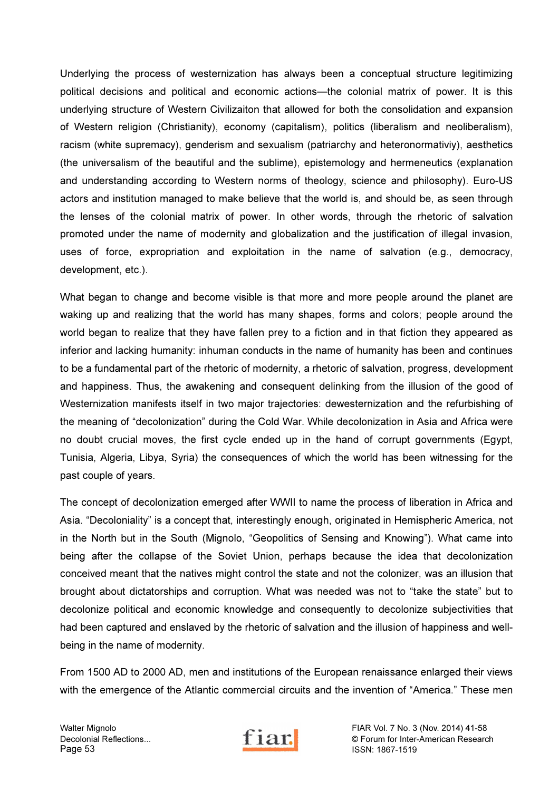Underlying the process of westernization has always been a conceptual structure legitimizing political decisions and political and economic actions—the colonial matrix of power. It is this underlying structure of Western Civilizaiton that allowed for both the consolidation and expansion of Western religion (Christianity), economy (capitalism), politics (liberalism and neoliberalism), racism (white supremacy), genderism and sexualism (patriarchy and heteronormativiy), aesthetics (the universalism of the beautiful and the sublime), epistemology and hermeneutics (explanation and understanding according to Western norms of theology, science and philosophy). Euro-US actors and institution managed to make believe that the world is, and should be, as seen through the lenses of the colonial matrix of power. In other words, through the rhetoric of salvation promoted under the name of modernity and globalization and the justification of illegal invasion, uses of force, expropriation and exploitation in the name of salvation (e.g., democracy, development, etc.).

What began to change and become visible is that more and more people around the planet are waking up and realizing that the world has many shapes, forms and colors; people around the world began to realize that they have fallen prey to a fiction and in that fiction they appeared as inferior and lacking humanity: inhuman conducts in the name of humanity has been and continues to be a fundamental part of the rhetoric of modernity, a rhetoric of salvation, progress, development and happiness. Thus, the awakening and consequent delinking from the illusion of the good of Westernization manifests itself in two major trajectories: dewesternization and the refurbishing of the meaning of "decolonization" during the Cold War. While decolonization in Asia and Africa were no doubt crucial moves, the first cycle ended up in the hand of corrupt governments (Egypt, Tunisia, Algeria, Libya, Syria) the consequences of which the world has been witnessing for the past couple of years.

The concept of decolonization emerged after WWII to name the process of liberation in Africa and Asia. "Decoloniality" is a concept that, interestingly enough, originated in Hemispheric America, not in the North but in the South (Mignolo, "Geopolitics of Sensing and Knowing"). What came into being after the collapse of the Soviet Union, perhaps because the idea that decolonization conceived meant that the natives might control the state and not the colonizer, was an illusion that brought about dictatorships and corruption. What was needed was not to "take the state" but to decolonize political and economic knowledge and consequently to decolonize subjectivities that had been captured and enslaved by the rhetoric of salvation and the illusion of happiness and wellbeing in the name of modernity.

From 1500 AD to 2000 AD, men and institutions of the European renaissance enlarged their views with the emergence of the Atlantic commercial circuits and the invention of "America." These men



Walter Mignolo FIAR Vol. 7 No. 3 (Nov. 2014) 41-58<br>Decolonial Reflections... Fiam of Texas Corum for Inter-American Research Decolonial Reflections... <br>
Page 53 
and Contact Contact Contact Contact Contact Contact Contact Contact Contact Contact Contact Contact Contact Contact Contact Contact Contact Contact Contact Contact Contact Contact Conta ISSN: 1867-1519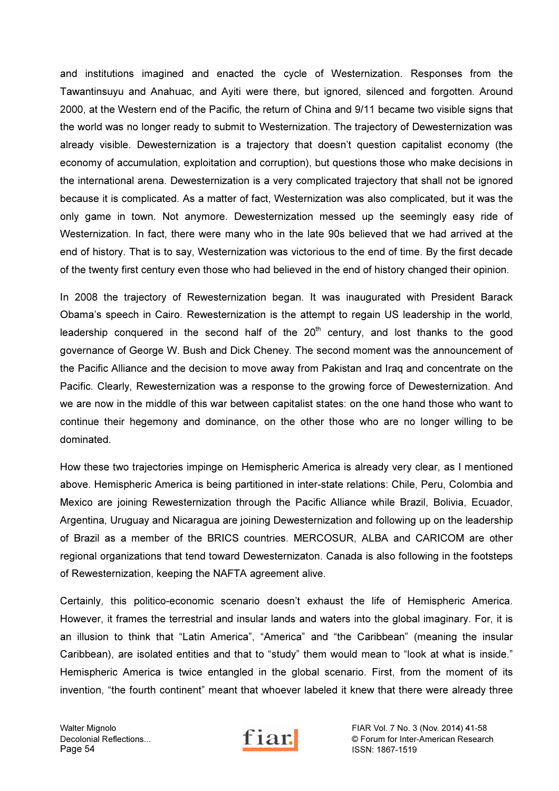and institutions imagined and enacted the cycle of Westernization. Responses from the Tawantinsuyu and Anahuac, and Ayiti were there, but ignored, silenced and forgotten. Around 2000, at the Western end of the Pacific, the return of China and 9/11 became two visible signs that the world was no longer ready to submit to Westernization. The trajectory of Dewesternization was already visible. Dewesternization is a trajectory that doesn't question capitalist economy (the economy of accumulation, exploitation and corruption), but questions those who make decisions in the international arena. Dewesternization is a very complicated trajectory that shall not be ignored because it is complicated. As a matter of fact, Westernization was also complicated, but it was the only game in town. Not anymore. Dewesternization messed up the seemingly easy ride of Westernization. In fact, there were many who in the late 90s believed that we had arrived at the end of history. That is to say, Westernization was victorious to the end of time. By the first decade of the twenty first century even those who had believed in the end of history changed their opinion.

In 2008 the trajectory of Rewesternization began. It was inaugurated with President Barack Obama's speech in Cairo. Rewesternization is the attempt to regain US leadership in the world, leadership conquered in the second half of the  $20<sup>th</sup>$  century, and lost thanks to the good governance of George W. Bush and Dick Cheney. The second moment was the announcement of the Pacific Alliance and the decision to move away from Pakistan and Iraq and concentrate on the Pacific. Clearly, Rewesternization was a response to the growing force of Dewesternization. And we are now in the middle of this war between capitalist states: on the one hand those who want to continue their hegemony and dominance, on the other those who are no longer willing to be dominated.

How these two trajectories impinge on Hemispheric America is already very clear, as I mentioned above. Hemispheric America is being partitioned in inter-state relations: Chile, Peru, Colombia and Mexico are joining Rewesternization through the Pacific Alliance while Brazil, Bolivia, Ecuador, Argentina, Uruguay and Nicaragua are joining Dewesternization and following up on the leadership of Brazil as a member of the BRICS countries. MERCOSUR, ALBA and CARICOM are other regional organizations that tend toward Dewesternizaton. Canada is also following in the footsteps of Rewesternization, keeping the NAFTA agreement alive.

Certainly, this politico-economic scenario doesn't exhaust the life of Hemispheric America. However, it frames the terrestrial and insular lands and waters into the global imaginary. For, it is an illusion to think that "Latin America", "America" and "the Caribbean" (meaning the insular Caribbean), are isolated entities and that to "study" them would mean to "look at what is inside." Hemispheric America is twice entangled in the global scenario. First, from the moment of its invention, "the fourth continent" meant that whoever labeled it knew that there were already three



Walter Mignolo FIAR Vol. 7 No. 3 (Nov. 2014) 41-58<br>Decolonial Reflections... Fiam of Inter-American Research Decolonial Reflections...<br>
Page 54<br>
Page 54<br>
Page 54<br>
Page 54 ISSN: 1867-1519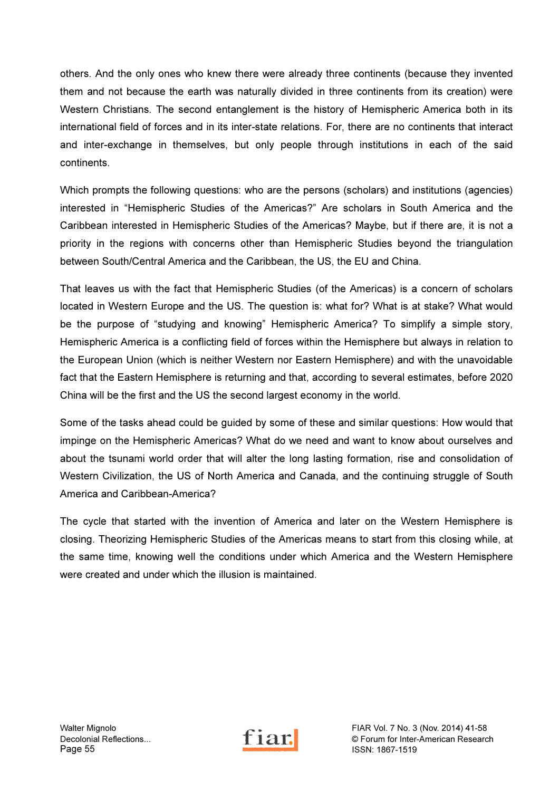others. And the only ones who knew there were already three continents (because they invented them and not because the earth was naturally divided in three continents from its creation) were Western Christians. The second entanglement is the history of Hemispheric America both in its international field of forces and in its inter-state relations. For, there are no continents that interact and inter-exchange in themselves, but only people through institutions in each of the said continents.

Which prompts the following questions: who are the persons (scholars) and institutions (agencies) interested in "Hemispheric Studies of the Americas?" Are scholars in South America and the Caribbean interested in Hemispheric Studies of the Americas? Maybe, but if there are, it is not a priority in the regions with concerns other than Hemispheric Studies beyond the triangulation between South/Central America and the Caribbean, the US, the EU and China.

That leaves us with the fact that Hemispheric Studies (of the Americas) is a concern of scholars located in Western Europe and the US. The question is: what for? What is at stake? What would be the purpose of "studying and knowing" Hemispheric America? To simplify a simple story, Hemispheric America is a conflicting field of forces within the Hemisphere but always in relation to the European Union (which is neither Western nor Eastern Hemisphere) and with the unavoidable fact that the Eastern Hemisphere is returning and that, according to several estimates, before 2020 China will be the first and the US the second largest economy in the world.

Some of the tasks ahead could be guided by some of these and similar questions: How would that impinge on the Hemispheric Americas? What do we need and want to know about ourselves and about the tsunami world order that will alter the long lasting formation, rise and consolidation of Western Civilization, the US of North America and Canada, and the continuing struggle of South America and Caribbean-America?

The cycle that started with the invention of America and later on the Western Hemisphere is closing. Theorizing Hemispheric Studies of the Americas means to start from this closing while, at the same time, knowing well the conditions under which America and the Western Hemisphere were created and under which the illusion is maintained.

Walter Mignolo FIAR Vol. 7 No. 3 (Nov. 2014) 41-58<br>Decolonial Reflections... The Content of Content of Content of Table 1 2014) 41-58 Decolonial Reflections... **Fil all.** C Forum for Inter-American Research<br>
Page 55 ISSN: 1867-1519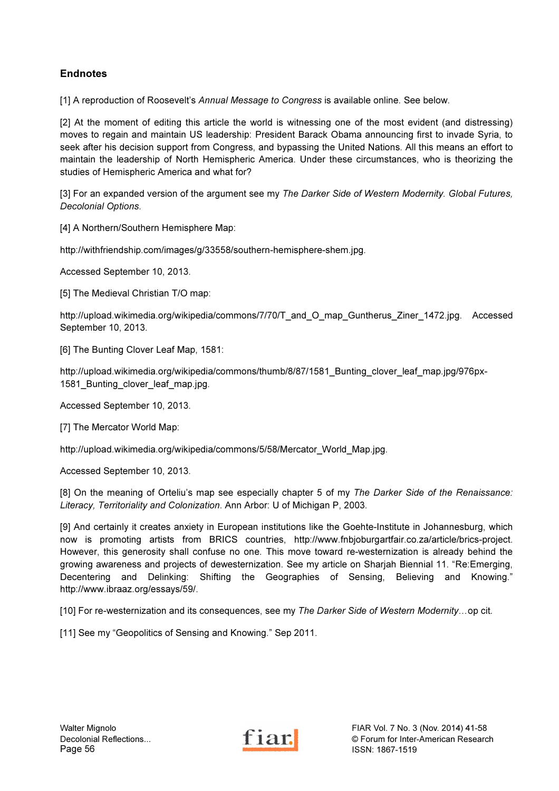# Endnotes

[1] A reproduction of Roosevelt's Annual Message to Congress is available online. See below.

[2] At the moment of editing this article the world is witnessing one of the most evident (and distressing) moves to regain and maintain US leadership: President Barack Obama announcing first to invade Syria, to seek after his decision support from Congress, and bypassing the United Nations. All this means an effort to maintain the leadership of North Hemispheric America. Under these circumstances, who is theorizing the studies of Hemispheric America and what for?

[3] For an expanded version of the argument see my The Darker Side of Western Modernity. Global Futures, Decolonial Options.

[4] A Northern/Southern Hemisphere Map:

http://withfriendship.com/images/g/33558/southern-hemisphere-shem.jpg.

Accessed September 10, 2013.

[5] The Medieval Christian T/O map:

http://upload.wikimedia.org/wikipedia/commons/7/70/T\_and\_O\_map\_Guntherus\_Ziner\_1472.jpg. Accessed September 10, 2013.

[6] The Bunting Clover Leaf Map, 1581:

http://upload.wikimedia.org/wikipedia/commons/thumb/8/87/1581\_Bunting\_clover\_leaf\_map.jpg/976px-1581\_Bunting\_clover\_leaf\_map.jpg.

Accessed September 10, 2013.

[7] The Mercator World Map:

http://upload.wikimedia.org/wikipedia/commons/5/58/Mercator\_World\_Map.jpg.

Accessed September 10, 2013.

[8] On the meaning of Orteliu's map see especially chapter 5 of my The Darker Side of the Renaissance: Literacy, Territoriality and Colonization. Ann Arbor: U of Michigan P, 2003.

[9] And certainly it creates anxiety in European institutions like the Goehte-Institute in Johannesburg, which now is promoting artists from BRICS countries, http://www.fnbjoburgartfair.co.za/article/brics-project. However, this generosity shall confuse no one. This move toward re-westernization is already behind the growing awareness and projects of dewesternization. See my article on Sharjah Biennial 11. "Re:Emerging, Decentering and Delinking: Shifting the Geographies of Sensing, Believing and Knowing." http://www.ibraaz.org/essays/59/.

[10] For re-westernization and its consequences, see my The Darker Side of Western Modernity...op cit.

[11] See my "Geopolitics of Sensing and Knowing." Sep 2011.

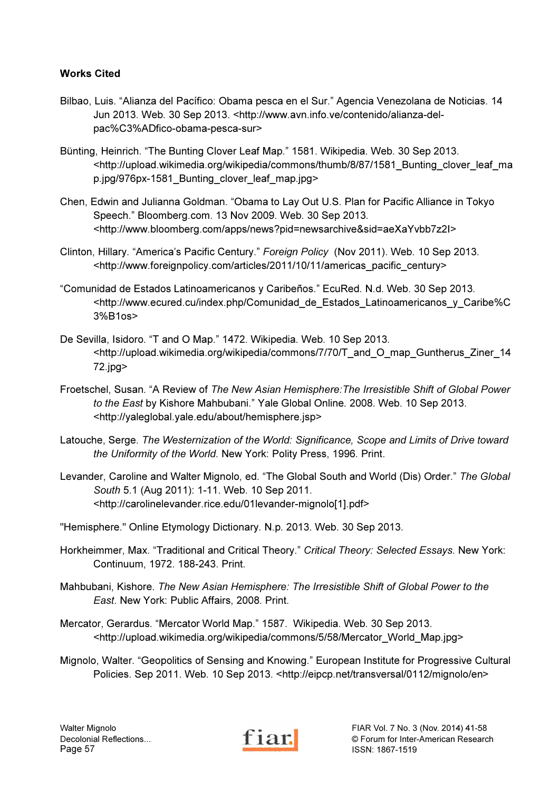# Works Cited

- Bilbao, Luis. "Alianza del Pacífico: Obama pesca en el Sur." Agencia Venezolana de Noticias. 14 Jun 2013. Web. 30 Sep 2013. <http://www.avn.info.ve/contenido/alianza-delpac%C3%ADfico-obama-pesca-sur>
- Bünting, Heinrich. "The Bunting Clover Leaf Map." 1581. Wikipedia. Web. 30 Sep 2013. <http://upload.wikimedia.org/wikipedia/commons/thumb/8/87/1581\_Bunting\_clover\_leaf\_ma p.jpg/976px-1581\_Bunting\_clover\_leaf\_map.jpg>
- Chen, Edwin and Julianna Goldman. "Obama to Lay Out U.S. Plan for Pacific Alliance in Tokyo Speech." Bloomberg.com. 13 Nov 2009. Web. 30 Sep 2013. <http://www.bloomberg.com/apps/news?pid=newsarchive&sid=aeXaYvbb7z2I>
- Clinton, Hillary. "America's Pacific Century." Foreign Policy (Nov 2011). Web. 10 Sep 2013. <http://www.foreignpolicy.com/articles/2011/10/11/americas\_pacific\_century>
- "Comunidad de Estados Latinoamericanos y Caribeños." EcuRed. N.d. Web. 30 Sep 2013. <http://www.ecured.cu/index.php/Comunidad\_de\_Estados\_Latinoamericanos\_y\_Caribe%C 3%B1os>
- De Sevilla, Isidoro. "T and O Map." 1472. Wikipedia. Web. 10 Sep 2013. <http://upload.wikimedia.org/wikipedia/commons/7/70/T\_and\_O\_map\_Guntherus\_Ziner\_14 72.jpg>
- Froetschel, Susan. "A Review of The New Asian Hemisphere:The Irresistible Shift of Global Power to the East by Kishore Mahbubani." Yale Global Online. 2008. Web. 10 Sep 2013. <http://yaleglobal.yale.edu/about/hemisphere.jsp>
- Latouche, Serge. The Westernization of the World: Significance, Scope and Limits of Drive toward the Uniformity of the World. New York: Polity Press, 1996. Print.
- Levander, Caroline and Walter Mignolo, ed. "The Global South and World (Dis) Order." The Global South 5.1 (Aug 2011): 1-11. Web. 10 Sep 2011. <http://carolinelevander.rice.edu/01levander-mignolo[1].pdf>
- "Hemisphere." Online Etymology Dictionary. N.p. 2013. Web. 30 Sep 2013.
- Horkheimmer, Max. "Traditional and Critical Theory." Critical Theory: Selected Essays. New York: Continuum, 1972. 188-243. Print.
- Mahbubani, Kishore. The New Asian Hemisphere: The Irresistible Shift of Global Power to the East. New York: Public Affairs, 2008. Print.
- Mercator, Gerardus. "Mercator World Map." 1587. Wikipedia. Web. 30 Sep 2013. <http://upload.wikimedia.org/wikipedia/commons/5/58/Mercator\_World\_Map.jpg>
- Mignolo, Walter. "Geopolitics of Sensing and Knowing." European Institute for Progressive Cultural Policies. Sep 2011. Web. 10 Sep 2013. <http://eipcp.net/transversal/0112/mignolo/en>